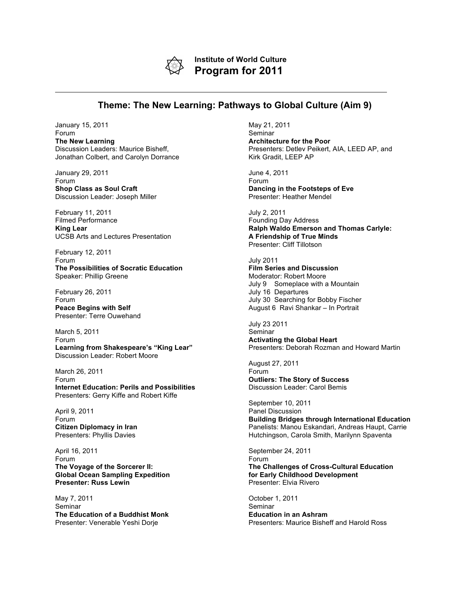

**Institute of World Culture Program for 2011**

## **Theme: The New Learning: Pathways to Global Culture (Aim 9)**

January 15, 2011 Forum **The New Learning** Discussion Leaders: Maurice Bisheff, Jonathan Colbert, and Carolyn Dorrance

January 29, 2011 Forum **Shop Class as Soul Craft** Discussion Leader: Joseph Miller

February 11, 2011 Filmed Performance **King Lear** UCSB Arts and Lectures Presentation

February 12, 2011 Forum **The Possibilities of Socratic Education** Speaker: Phillip Greene

February 26, 2011 Forum **Peace Begins with Self** Presenter: Terre Ouwehand

March 5, 2011 Forum **Learning from Shakespeare's "King Lear"** Discussion Leader: Robert Moore

March 26, 2011 Forum **Internet Education: Perils and Possibilities** Presenters: Gerry Kiffe and Robert Kiffe

April 9, 2011 Forum **Citizen Diplomacy in Iran** Presenters: Phyllis Davies

April 16, 2011 Forum **The Voyage of the Sorcerer II: Global Ocean Sampling Expedition Presenter: Russ Lewin**

May 7, 2011 Seminar **The Education of a Buddhist Monk** Presenter: Venerable Yeshi Dorje

May 21, 2011 Seminar **Architecture for the Poor** Presenters: Detlev Peikert, AIA, LEED AP, and Kirk Gradit, LEEP AP

June 4, 2011 Forum **Dancing in the Footsteps of Eve** Presenter: Heather Mendel

July 2, 2011 Founding Day Address **Ralph Waldo Emerson and Thomas Carlyle: A Friendship of True Minds** Presenter: Cliff Tillotson

July 2011 **Film Series and Discussion** Moderator: Robert Moore July 9 Someplace with a Mountain July 16 Departures July 30 Searching for Bobby Fischer August 6 Ravi Shankar – In Portrait

July 23 2011 Seminar **Activating the Global Heart** Presenters: Deborah Rozman and Howard Martin

August 27, 2011 Forum **Outliers: The Story of Success** Discussion Leader: Carol Bemis

September 10, 2011 Panel Discussion **Building Bridges through International Education** Panelists: Manou Eskandari, Andreas Haupt, Carrie Hutchingson, Carola Smith, Marilynn Spaventa

September 24, 2011 Forum **The Challenges of Cross-Cultural Education for Early Childhood Development** Presenter: Elvia Rivero

October 1, 2011 **Seminar Education in an Ashram** Presenters: Maurice Bisheff and Harold Ross